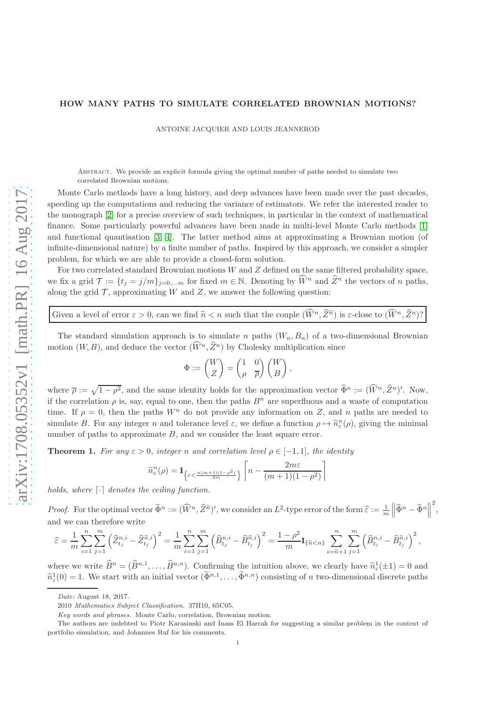## HOW MANY PATHS TO SIMULATE CORRELATED BROWNIAN MOTIONS?

ANTOINE JACQUIER AND LOUIS JEANNEROD

Abstract. We provide an explicit formula giving the optimal number of paths needed to simulate two correlated Brownian motions.

Monte Carlo methods have a long history, and deep advances have been made over the past decades, speeding up the computations and reducing the variance of estimators. We refer the interested reader to the monograph [\[2\]](#page-1-0) for a precise overview of such techniques, in particular in the context of mathematical finance. Some particularly powerful advances have been made in multi-level Monte Carlo methods [\[1\]](#page-1-1) and functional quantisation [\[3,](#page-1-2) [4\]](#page-1-3). The latter method aims at approximating a Brownian motion (of infinite-dimensional nature) by a finite number of paths. Inspired by this approach, we consider a simpler problem, for which we are able to provide a closed-form solution.

For two correlated standard Brownian motions  $W$  and  $Z$  defined on the same filtered probability space, we fix a grid  $\mathcal{T} := \{t_i = j/m\}_{i=0,\dots,m}$  for fixed  $m \in \mathbb{N}$ . Denoting by  $\widehat{W}^n$  and  $\widehat{Z}^n$  the vectors of n paths, along the grid  $\mathcal T$ , approximating W and Z, we answer the following question:

Given a level of error  $\varepsilon > 0$ , can we find  $\tilde{n} < n$  such that the couple  $(\tilde{W}^n, \tilde{Z}^n)$  is  $\varepsilon$ -close to  $(\tilde{W}^n, \tilde{Z}^n)$ ?

The standard simulation approach is to simulate n paths  $(W_n, B_n)$  of a two-dimensional Brownian motion  $(W, B)$ , and deduce the vector  $(\widehat{W}^n, \widehat{Z}^n)$  by Cholesky multiplication since

$$
\Phi := \begin{pmatrix} W \\ Z \end{pmatrix} = \begin{pmatrix} 1 & 0 \\ \rho & \overline{\rho} \end{pmatrix} \begin{pmatrix} W \\ B \end{pmatrix},
$$

where  $\overline{\rho} := \sqrt{1 - \rho^2}$ , and the same identity holds for the approximation vector  $\widehat{\Phi}^n := (\widehat{W}^n, \widehat{Z}^n)'$ . Now, if the correlation  $\rho$  is, say, equal to one, then the paths  $B<sup>n</sup>$  are superfluous and a waste of computation time. If  $\rho = 0$ , then the paths  $W<sup>n</sup>$  do not provide any information on Z, and n paths are needed to simulate B. For any integer n and tolerance level  $\varepsilon$ , we define a function  $\rho \mapsto \tilde{n}_{\varepsilon}^n(\rho)$ , giving the minimal number of paths to approximate  $B$ , and we consider the least square error.

**Theorem 1.** For any  $\varepsilon > 0$ , integer n and correlation level  $\rho \in [-1,1]$ , the identity

$$
\widetilde{n}^n_\varepsilon(\rho)=\mathbf{1}_{\left\{\varepsilon<\frac{n(m+1)(1-\rho^2)}{2m}\right\}}\left[n-\frac{2m\varepsilon}{(m+1)(1-\rho^2)}\right]
$$

holds, where  $\lceil \cdot \rceil$  denotes the ceiling function.

*Proof.* For the optimal vector  $\tilde{\Phi}^n := (\widehat{W}^n, \widehat{Z}^{\widetilde{n}})'$ , we consider an  $L^2$ -type error of the form  $\widehat{\varepsilon} := \frac{1}{m}$  $\left\| \widehat{\Phi}^n - \widetilde{\Phi}^n \right\|$ 2 , and we can therefore write

$$
\widehat{\varepsilon} = \frac{1}{m} \sum_{i=1}^{n} \sum_{j=1}^{m} \left( \widehat{Z}_{t_j}^{n,i} - \widehat{Z}_{t_j}^{\widetilde{n},i} \right)^2 = \frac{1}{m} \sum_{i=1}^{n} \sum_{j=1}^{m} \left( \widehat{B}_{t_j}^{n,i} - \widehat{B}_{t_j}^{\widetilde{n},i} \right)^2 = \frac{1 - \rho^2}{m} \mathbf{1}_{\{\widetilde{n} < n\}} \sum_{i=\widetilde{n}+1}^{n} \sum_{j=1}^{m} \left( \widehat{B}_{t_j}^{n,i} - \widehat{B}_{t_j}^{\widetilde{n},i} \right)^2,
$$

where we write  $\widetilde{B}^n = (\widetilde{B}^{n,1}, \ldots, \widetilde{B}^{n,n}).$  Confirming the intuition above, we clearly have  $\widetilde{n}_{\varepsilon}^1(\pm 1) = 0$  and  $\widetilde{\lambda}^1(\varepsilon)$  $\tilde{n}_{\varepsilon}^1(0) = 1$ . We start with an initial vector  $(\tilde{\Phi}^{n,1}, \ldots, \tilde{\Phi}^{n,n})$  consisting of n two-dimensional discrete paths

Date: August 18, 2017.

<sup>2010</sup> Mathematics Subject Classification. 37H10, 65C05.

Key words and phrases. Monte Carlo, correlation, Brownian motion.

The authors are indebted to Piotr Karasinski and Inass El Harrak for suggesting a similar problem in the context of portfolio simulation, and Johannes Ruf for his comments.